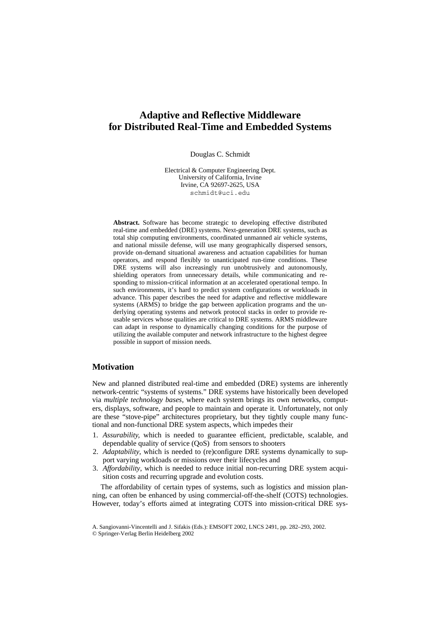# **Adaptive and Reflective Middleware for Distributed Real-Time and Embedded Systems**

Douglas C. Schmidt

Electrical & Computer Engineering Dept. University of California, Irvine Irvine, CA 92697-2625, USA schmidt@uci.edu

**Abstract.** Software has become strategic to developing effective distributed real-time and embedded (DRE) systems. Next-generation DRE systems, such as total ship computing environments, coordinated unmanned air vehicle systems, and national missile defense, will use many geographically dispersed sensors, provide on-demand situational awareness and actuation capabilities for human operators, and respond flexibly to unanticipated run-time conditions. These DRE systems will also increasingly run unobtrusively and autonomously, shielding operators from unnecessary details, while communicating and responding to mission-critical information at an accelerated operational tempo. In such environments, it's hard to predict system configurations or workloads in advance. This paper describes the need for adaptive and reflective middleware systems (ARMS) to bridge the gap between application programs and the underlying operating systems and network protocol stacks in order to provide reusable services whose qualities are critical to DRE systems. ARMS middleware can adapt in response to dynamically changing conditions for the purpose of utilizing the available computer and network infrastructure to the highest degree possible in support of mission needs.

#### **Motivation**

New and planned distributed real-time and embedded (DRE) systems are inherently network-centric "systems of systems." DRE systems have historically been developed via *multiple technology bases*, where each system brings its own networks, computers, displays, software, and people to maintain and operate it. Unfortunately, not only are these "stove-pipe" architectures proprietary, but they tightly couple many functional and non-functional DRE system aspects, which impedes their

- 1. *Assurability,* which is needed to guarantee efficient, predictable, scalable, and dependable quality of service (QoS) from sensors to shooters
- 2. *Adaptability*, which is needed to (re)configure DRE systems dynamically to support varying workloads or missions over their lifecycles and
- 3. *Affordability*, which is needed to reduce initial non-recurring DRE system acquisition costs and recurring upgrade and evolution costs.

The affordability of certain types of systems, such as logistics and mission planning, can often be enhanced by using commercial-off-the-shelf (COTS) technologies. However, today's efforts aimed at integrating COTS into mission-critical DRE sys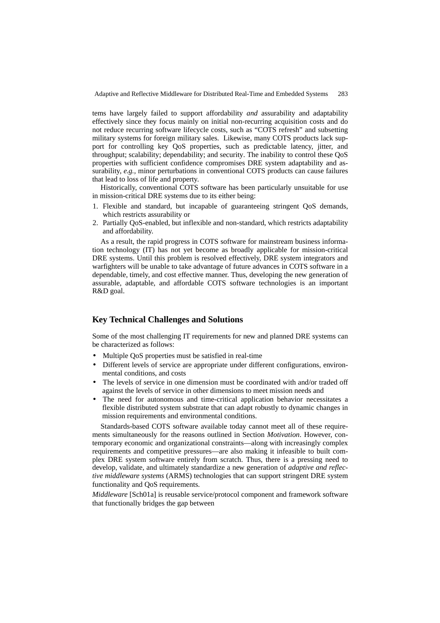tems have largely failed to support affordability *and* assurability and adaptability effectively since they focus mainly on initial non-recurring acquisition costs and do not reduce recurring software lifecycle costs, such as "COTS refresh" and subsetting military systems for foreign military sales. Likewise, many COTS products lack support for controlling key QoS properties, such as predictable latency, jitter, and throughput; scalability; dependability; and security. The inability to control these QoS properties with sufficient confidence compromises DRE system adaptability and assurability, *e.g.,* minor perturbations in conventional COTS products can cause failures that lead to loss of life and property.

Historically, conventional COTS software has been particularly unsuitable for use in mission-critical DRE systems due to its either being:

- 1. Flexible and standard, but incapable of guaranteeing stringent QoS demands, which restricts assurability or
- 2. Partially QoS-enabled, but inflexible and non-standard, which restricts adaptability and affordability.

As a result, the rapid progress in COTS software for mainstream business information technology (IT) has not yet become as broadly applicable for mission-critical DRE systems. Until this problem is resolved effectively, DRE system integrators and warfighters will be unable to take advantage of future advances in COTS software in a dependable, timely, and cost effective manner. Thus, developing the new generation of assurable, adaptable, and affordable COTS software technologies is an important R&D goal.

### **Key Technical Challenges and Solutions**

Some of the most challenging IT requirements for new and planned DRE systems can be characterized as follows:

- Multiple QoS properties must be satisfied in real-time
- Different levels of service are appropriate under different configurations, environmental conditions, and costs
- The levels of service in one dimension must be coordinated with and/or traded off against the levels of service in other dimensions to meet mission needs and
- The need for autonomous and time-critical application behavior necessitates a flexible distributed system substrate that can adapt robustly to dynamic changes in mission requirements and environmental conditions.

Standards-based COTS software available today cannot meet all of these requirements simultaneously for the reasons outlined in Section *Motivation*. However, contemporary economic and organizational constraints—along with increasingly complex requirements and competitive pressures—are also making it infeasible to built complex DRE system software entirely from scratch. Thus, there is a pressing need to develop, validate, and ultimately standardize a new generation of *adaptive and reflective middleware systems* (ARMS) technologies that can support stringent DRE system functionality and QoS requirements.

*Middleware* [Sch01a] is reusable service/protocol component and framework software that functionally bridges the gap between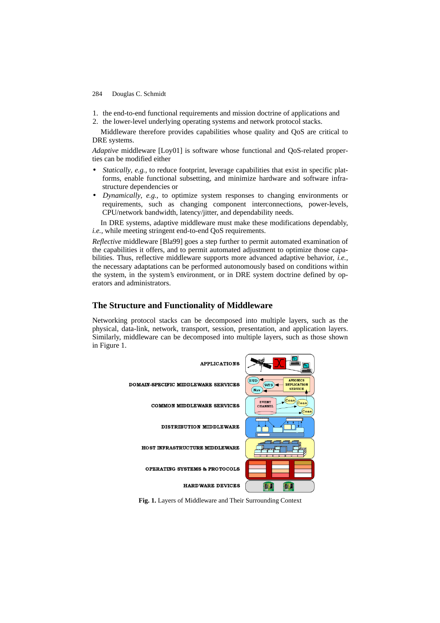- 1. the end-to-end functional requirements and mission doctrine of applications and
- 2. the lower-level underlying operating systems and network protocol stacks.

Middleware therefore provides capabilities whose quality and QoS are critical to DRE systems.

*Adaptive* middleware [Loy01] is software whose functional and QoS-related properties can be modified either

- *Statically, e.g.,* to reduce footprint, leverage capabilities that exist in specific platforms, enable functional subsetting, and minimize hardware and software infrastructure dependencies or
- *Dynamically*, *e.g.,* to optimize system responses to changing environments or requirements, such as changing component interconnections, power-levels, CPU/network bandwidth, latency/jitter, and dependability needs.

In DRE systems, adaptive middleware must make these modifications dependably, *i.e.,* while meeting stringent end-to-end QoS requirements.

*Reflective* middleware [Bla99] goes a step further to permit automated examination of the capabilities it offers, and to permit automated adjustment to optimize those capabilities. Thus, reflective middleware supports more advanced adaptive behavior, *i.e.,* the necessary adaptations can be performed autonomously based on conditions within the system, in the system's environment, or in DRE system doctrine defined by operators and administrators.

# **The Structure and Functionality of Middleware**

Networking protocol stacks can be decomposed into multiple layers, such as the physical, data-link, network, transport, session, presentation, and application layers. Similarly, middleware can be decomposed into multiple layers, such as those shown in Figure 1.



**Fig. 1.** Layers of Middleware and Their Surrounding Context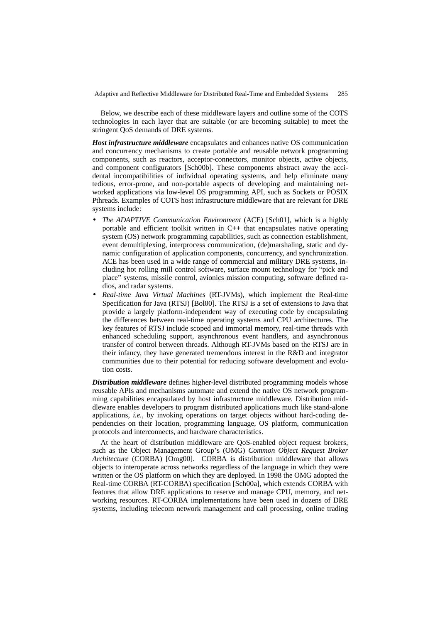Below, we describe each of these middleware layers and outline some of the COTS technologies in each layer that are suitable (or are becoming suitable) to meet the stringent QoS demands of DRE systems.

*Host infrastructure middleware* encapsulates and enhances native OS communication and concurrency mechanisms to create portable and reusable network programming components, such as reactors, acceptor-connectors, monitor objects, active objects, and component configurators [Sch00b]. These components abstract away the accidental incompatibilities of individual operating systems, and help eliminate many tedious, error-prone, and non-portable aspects of developing and maintaining networked applications via low-level OS programming API, such as Sockets or POSIX Pthreads. Examples of COTS host infrastructure middleware that are relevant for DRE systems include:

- *The ADAPTIVE Communication Environment* (ACE) [Sch01], which is a highly portable and efficient toolkit written in C++ that encapsulates native operating system (OS) network programming capabilities, such as connection establishment, event demultiplexing, interprocess communication, (de)marshaling, static and dynamic configuration of application components, concurrency, and synchronization. ACE has been used in a wide range of commercial and military DRE systems, including hot rolling mill control software, surface mount technology for "pick and place" systems, missile control, avionics mission computing, software defined radios, and radar systems.
- *Real-time Java Virtual Machines* (RT-JVMs), which implement the Real-time Specification for Java (RTSJ) [Bol00]. The RTSJ is a set of extensions to Java that provide a largely platform-independent way of executing code by encapsulating the differences between real-time operating systems and CPU architectures. The key features of RTSJ include scoped and immortal memory, real-time threads with enhanced scheduling support, asynchronous event handlers, and asynchronous transfer of control between threads. Although RT-JVMs based on the RTSJ are in their infancy, they have generated tremendous interest in the R&D and integrator communities due to their potential for reducing software development and evolution costs.

*Distribution middleware* defines higher-level distributed programming models whose reusable APIs and mechanisms automate and extend the native OS network programming capabilities encapsulated by host infrastructure middleware. Distribution middleware enables developers to program distributed applications much like stand-alone applications, *i.e.*, by invoking operations on target objects without hard-coding dependencies on their location, programming language, OS platform, communication protocols and interconnects, and hardware characteristics.

At the heart of distribution middleware are QoS-enabled object request brokers, such as the Object Management Group's (OMG) *Common Object Request Broker Architecture* (CORBA) [Omg00]. CORBA is distribution middleware that allows objects to interoperate across networks regardless of the language in which they were written or the OS platform on which they are deployed. In 1998 the OMG adopted the Real-time CORBA (RT-CORBA) specification [Sch00a], which extends CORBA with features that allow DRE applications to reserve and manage CPU, memory, and networking resources. RT-CORBA implementations have been used in dozens of DRE systems, including telecom network management and call processing, online trading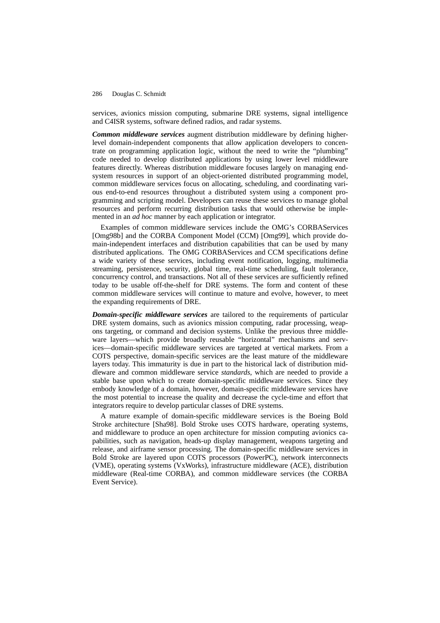services, avionics mission computing, submarine DRE systems, signal intelligence and C4ISR systems, software defined radios, and radar systems.

*Common middleware services* augment distribution middleware by defining higherlevel domain-independent components that allow application developers to concentrate on programming application logic, without the need to write the "plumbing" code needed to develop distributed applications by using lower level middleware features directly. Whereas distribution middleware focuses largely on managing endsystem resources in support of an object-oriented distributed programming model, common middleware services focus on allocating, scheduling, and coordinating various end-to-end resources throughout a distributed system using a component programming and scripting model. Developers can reuse these services to manage global resources and perform recurring distribution tasks that would otherwise be implemented in an *ad hoc* manner by each application or integrator.

Examples of common middleware services include the OMG's CORBAServices [Omg98b] and the CORBA Component Model (CCM) [Omg99], which provide domain-independent interfaces and distribution capabilities that can be used by many distributed applications. The OMG CORBAServices and CCM specifications define a wide variety of these services, including event notification, logging, multimedia streaming, persistence, security, global time, real-time scheduling, fault tolerance, concurrency control, and transactions. Not all of these services are sufficiently refined today to be usable off-the-shelf for DRE systems. The form and content of these common middleware services will continue to mature and evolve, however, to meet the expanding requirements of DRE.

*Domain-specific middleware services* are tailored to the requirements of particular DRE system domains, such as avionics mission computing, radar processing, weapons targeting, or command and decision systems. Unlike the previous three middleware layers—which provide broadly reusable "horizontal" mechanisms and services—domain-specific middleware services are targeted at vertical markets. From a COTS perspective, domain-specific services are the least mature of the middleware layers today. This immaturity is due in part to the historical lack of distribution middleware and common middleware service *standards*, which are needed to provide a stable base upon which to create domain-specific middleware services. Since they embody knowledge of a domain, however, domain-specific middleware services have the most potential to increase the quality and decrease the cycle-time and effort that integrators require to develop particular classes of DRE systems.

A mature example of domain-specific middleware services is the Boeing Bold Stroke architecture [Sha98]. Bold Stroke uses COTS hardware, operating systems, and middleware to produce an open architecture for mission computing avionics capabilities, such as navigation, heads-up display management, weapons targeting and release, and airframe sensor processing. The domain-specific middleware services in Bold Stroke are layered upon COTS processors (PowerPC), network interconnects (VME), operating systems (VxWorks), infrastructure middleware (ACE), distribution middleware (Real-time CORBA), and common middleware services (the CORBA Event Service).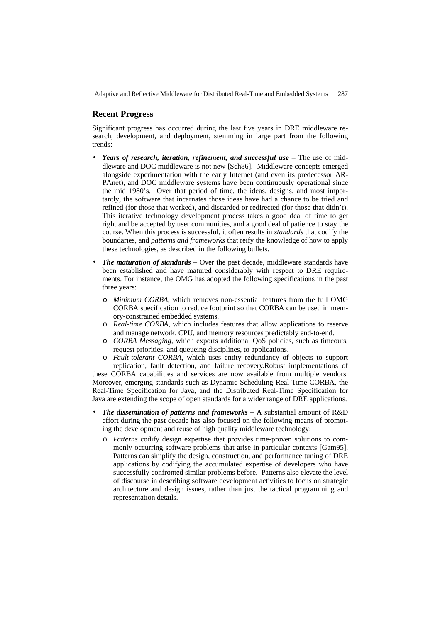# **Recent Progress**

Significant progress has occurred during the last five years in DRE middleware research, development, and deployment, stemming in large part from the following trends:

- *Years of research, iteration, refinement, and successful use* The use of middleware and DOC middleware is not new [Sch86]. Middleware concepts emerged alongside experimentation with the early Internet (and even its predecessor AR-PAnet), and DOC middleware systems have been continuously operational since the mid 1980's. Over that period of time, the ideas, designs, and most importantly, the software that incarnates those ideas have had a chance to be tried and refined (for those that worked), and discarded or redirected (for those that didn't). This iterative technology development process takes a good deal of time to get right and be accepted by user communities, and a good deal of patience to stay the course. When this process is successful, it often results in *standards* that codify the boundaries, and *patterns and frameworks* that reify the knowledge of how to apply these technologies, as described in the following bullets.
- *The maturation of standards* Over the past decade, middleware standards have been established and have matured considerably with respect to DRE requirements. For instance, the OMG has adopted the following specifications in the past three years:
	- o *Minimum CORBA*, which removes non-essential features from the full OMG CORBA specification to reduce footprint so that CORBA can be used in memory-constrained embedded systems.
	- o *Real-time CORBA*, which includes features that allow applications to reserve and manage network, CPU, and memory resources predictably end-to-end.
	- o *CORBA Messaging*, which exports additional QoS policies, such as timeouts, request priorities, and queueing disciplines, to applications.

o *Fault-tolerant CORBA*, which uses entity redundancy of objects to support replication, fault detection, and failure recovery.Robust implementations of these CORBA capabilities and services are now available from multiple vendors. Moreover, emerging standards such as Dynamic Scheduling Real-Time CORBA, the Real-Time Specification for Java, and the Distributed Real-Time Specification for Java are extending the scope of open standards for a wider range of DRE applications.

- *The dissemination of patterns and frameworks* A substantial amount of R&D effort during the past decade has also focused on the following means of promoting the development and reuse of high quality middleware technology:
	- o *Patterns* codify design expertise that provides time-proven solutions to commonly occurring software problems that arise in particular contexts [Gam95]. Patterns can simplify the design, construction, and performance tuning of DRE applications by codifying the accumulated expertise of developers who have successfully confronted similar problems before. Patterns also elevate the level of discourse in describing software development activities to focus on strategic architecture and design issues, rather than just the tactical programming and representation details.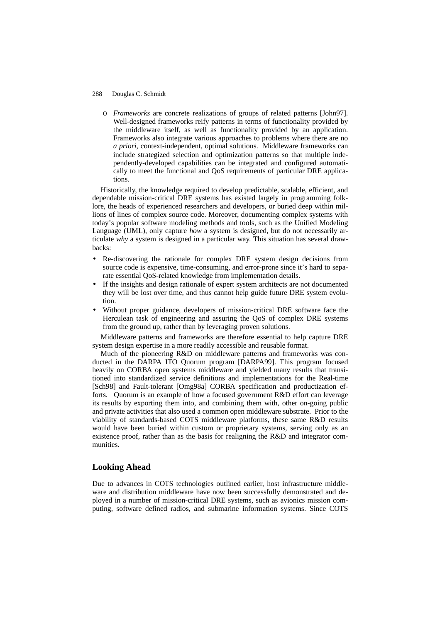o *Frameworks* are concrete realizations of groups of related patterns [John97]. Well-designed frameworks reify patterns in terms of functionality provided by the middleware itself, as well as functionality provided by an application. Frameworks also integrate various approaches to problems where there are no *a priori*, context-independent, optimal solutions. Middleware frameworks can include strategized selection and optimization patterns so that multiple independently-developed capabilities can be integrated and configured automatically to meet the functional and QoS requirements of particular DRE applications.

Historically, the knowledge required to develop predictable, scalable, efficient, and dependable mission-critical DRE systems has existed largely in programming folklore, the heads of experienced researchers and developers, or buried deep within millions of lines of complex source code. Moreover, documenting complex systems with today's popular software modeling methods and tools, such as the Unified Modeling Language (UML), only capture *how* a system is designed, but do not necessarily articulate *why* a system is designed in a particular way. This situation has several drawbacks:

- Re-discovering the rationale for complex DRE system design decisions from source code is expensive, time-consuming, and error-prone since it's hard to separate essential QoS-related knowledge from implementation details.
- If the insights and design rationale of expert system architects are not documented they will be lost over time, and thus cannot help guide future DRE system evolution.
- Without proper guidance, developers of mission-critical DRE software face the Herculean task of engineering and assuring the QoS of complex DRE systems from the ground up, rather than by leveraging proven solutions.

Middleware patterns and frameworks are therefore essential to help capture DRE system design expertise in a more readily accessible and reusable format.

Much of the pioneering R&D on middleware patterns and frameworks was conducted in the DARPA ITO Quorum program [DARPA99]. This program focused heavily on CORBA open systems middleware and yielded many results that transitioned into standardized service definitions and implementations for the Real-time [Sch98] and Fault-tolerant [Omg98a] CORBA specification and productization efforts. Quorum is an example of how a focused government R&D effort can leverage its results by exporting them into, and combining them with, other on-going public and private activities that also used a common open middleware substrate. Prior to the viability of standards-based COTS middleware platforms, these same R&D results would have been buried within custom or proprietary systems, serving only as an existence proof, rather than as the basis for realigning the R&D and integrator communities.

## **Looking Ahead**

Due to advances in COTS technologies outlined earlier, host infrastructure middleware and distribution middleware have now been successfully demonstrated and deployed in a number of mission-critical DRE systems, such as avionics mission computing, software defined radios, and submarine information systems. Since COTS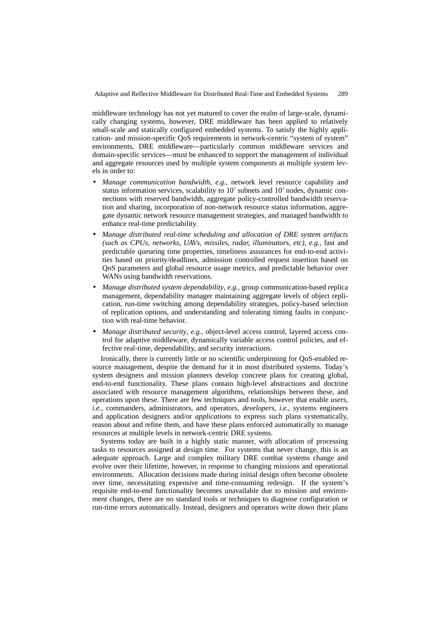middleware technology has not yet matured to cover the realm of large-scale, dynamically changing systems, however, DRE middleware has been applied to relatively small-scale and statically configured embedded systems. To satisfy the highly application- and mission-specific QoS requirements in network-centric "system of system" environments, DRE middleware—particularly common middleware services and domain-specific services—must be enhanced to support the management of individual and aggregate resources used by multiple system components at multiple system levels in order to:

- *Manage communication bandwidth*, *e.g.,* network level resource capability and status information services, scalability to  $10<sup>2</sup>$  subnets and  $10<sup>3</sup>$  nodes, dynamic connections with reserved bandwidth, aggregate policy-controlled bandwidth reservation and sharing, incorporation of non-network resource status information, aggregate dynamic network resource management strategies, and managed bandwidth to enhance real-time predictability.
- *Manage distributed real-time scheduling and allocation of DRE system artifacts (such as CPUs, networks, UAVs, missiles, radar, illuminators, etc)*, *e.g.,* fast and predictable queueing time properties, timeliness assurances for end-to-end activities based on priority/deadlines, admission controlled request insertion based on QoS parameters and global resource usage metrics, and predictable behavior over WANs using bandwidth reservations.
- *Manage distributed system dependability*, *e.g.,* group communication-based replica management, dependability manager maintaining aggregate levels of object replication, run-time switching among dependability strategies, policy-based selection of replication options, and understanding and tolerating timing faults in conjunction with real-time behavior.
- *Manage distributed security*, *e.g.,* object-level access control, layered access control for adaptive middleware, dynamically variable access control policies, and effective real-time, dependability, and security interactions.

Ironically, there is currently little or no scientific underpinning for QoS-enabled resource management, despite the demand for it in most distributed systems. Today's system designers and mission planners develop concrete plans for creating global, end-to-end functionality. These plans contain high-level abstractions and doctrine associated with resource management algorithms, relationships between these, and operations upon these. There are few techniques and tools, however that enable *users*, *i.e.,* commanders, administrators, and operators*, developers*, *i.e.,* systems engineers and application designers and/or *applications* to express such plans systematically, reason about and refine them, and have these plans enforced automatically to manage resources at multiple levels in network-centric DRE systems.

Systems today are built in a highly static manner, with allocation of processing tasks to resources assigned at design time. For systems that never change, this is an adequate approach. Large and complex military DRE combat systems change and evolve over their lifetime, however, in response to changing missions and operational environments. Allocation decisions made during initial design often become obsolete over time, necessitating expensive and time-consuming redesign. If the system's requisite end-to-end functionality becomes unavailable due to mission and environment changes, there are no standard tools or techniques to diagnose configuration or run-time errors automatically. Instead, designers and operators write down their plans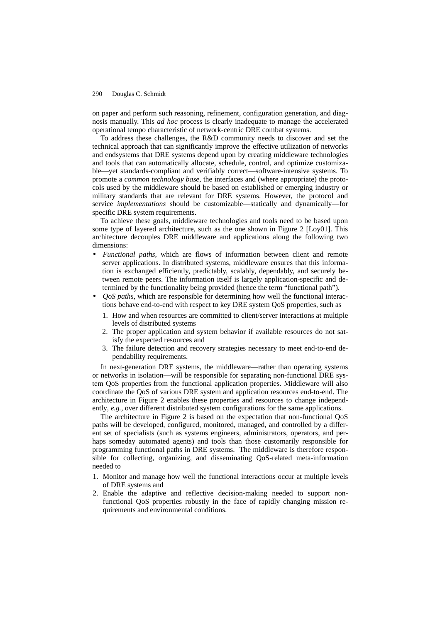on paper and perform such reasoning, refinement, configuration generation, and diagnosis manually. This *ad hoc* process is clearly inadequate to manage the accelerated operational tempo characteristic of network-centric DRE combat systems.

To address these challenges, the R&D community needs to discover and set the technical approach that can significantly improve the effective utilization of networks and endsystems that DRE systems depend upon by creating middleware technologies and tools that can automatically allocate, schedule, control, and optimize customizable—yet standards-compliant and verifiably correct—software-intensive systems. To promote a *common technology base*, the interfaces and (where appropriate) the protocols used by the middleware should be based on established or emerging industry or military standards that are relevant for DRE systems. However, the protocol and service *implementations* should be customizable—statically and dynamically—for specific DRE system requirements.

To achieve these goals, middleware technologies and tools need to be based upon some type of layered architecture, such as the one shown in Figure 2 [Loy01]. This architecture decouples DRE middleware and applications along the following two dimensions:

- *Functional paths,* which are flows of information between client and remote server applications. In distributed systems, middleware ensures that this information is exchanged efficiently, predictably, scalably, dependably, and securely between remote peers. The information itself is largely application-specific and determined by the functionality being provided (hence the term "functional path").
- *QoS paths*, which are responsible for determining how well the functional interactions behave end-to-end with respect to key DRE system QoS properties, such as
	- 1. How and when resources are committed to client/server interactions at multiple levels of distributed systems
	- 2. The proper application and system behavior if available resources do not satisfy the expected resources and
	- 3. The failure detection and recovery strategies necessary to meet end-to-end dependability requirements.

In next-generation DRE systems, the middleware—rather than operating systems or networks in isolation—will be responsible for separating non-functional DRE system QoS properties from the functional application properties. Middleware will also coordinate the QoS of various DRE system and application resources end-to-end. The architecture in Figure 2 enables these properties and resources to change independently, *e.g.*, over different distributed system configurations for the same applications.

The architecture in Figure 2 is based on the expectation that non-functional QoS paths will be developed, configured, monitored, managed, and controlled by a different set of specialists (such as systems engineers, administrators, operators, and perhaps someday automated agents) and tools than those customarily responsible for programming functional paths in DRE systems. The middleware is therefore responsible for collecting, organizing, and disseminating QoS-related meta-information needed to

- 1. Monitor and manage how well the functional interactions occur at multiple levels of DRE systems and
- 2. Enable the adaptive and reflective decision-making needed to support nonfunctional QoS properties robustly in the face of rapidly changing mission requirements and environmental conditions.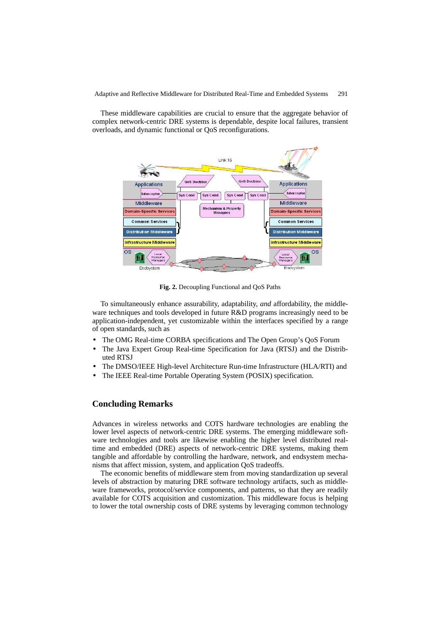These middleware capabilities are crucial to ensure that the aggregate behavior of complex network-centric DRE systems is dependable, despite local failures, transient overloads, and dynamic functional or QoS reconfigurations.



**Fig. 2.** Decoupling Functional and QoS Paths

To simultaneously enhance assurability, adaptability, *and* affordability, the middleware techniques and tools developed in future R&D programs increasingly need to be application-independent, yet customizable within the interfaces specified by a range of open standards, such as

- The OMG Real-time CORBA specifications and The Open Group's QoS Forum
- The Java Expert Group Real-time Specification for Java (RTSJ) and the Distributed RTSJ
- The DMSO/IEEE High-level Architecture Run-time Infrastructure (HLA/RTI) and
- The IEEE Real-time Portable Operating System (POSIX) specification.

#### **Concluding Remarks**

Advances in wireless networks and COTS hardware technologies are enabling the lower level aspects of network-centric DRE systems. The emerging middleware software technologies and tools are likewise enabling the higher level distributed realtime and embedded (DRE) aspects of network-centric DRE systems, making them tangible and affordable by controlling the hardware, network, and endsystem mechanisms that affect mission, system, and application QoS tradeoffs.

The economic benefits of middleware stem from moving standardization up several levels of abstraction by maturing DRE software technology artifacts, such as middleware frameworks, protocol/service components, and patterns, so that they are readily available for COTS acquisition and customization. This middleware focus is helping to lower the total ownership costs of DRE systems by leveraging common technology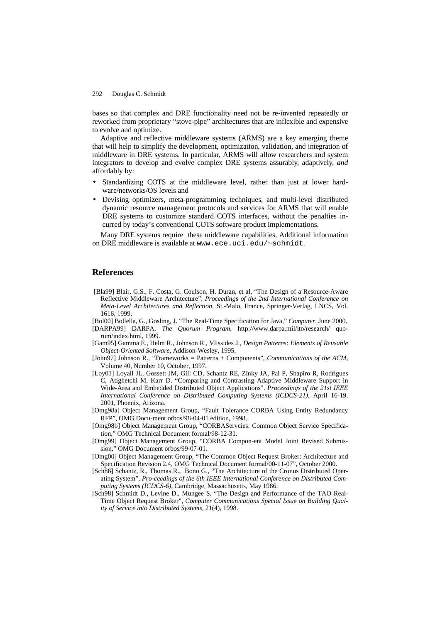bases so that complex and DRE functionality need not be re-invented repeatedly or reworked from proprietary "stove-pipe" architectures that are inflexible and expensive to evolve and optimize.

Adaptive and reflective middleware systems (ARMS) are a key emerging theme that will help to simplify the development, optimization, validation, and integration of middleware in DRE systems. In particular, ARMS will allow researchers and system integrators to develop and evolve complex DRE systems assurably, adaptively, *and* affordably by:

- Standardizing COTS at the middleware level, rather than just at lower hardware/networks/OS levels and
- Devising optimizers, meta-programming techniques, and multi-level distributed dynamic resource management protocols and services for ARMS that will enable DRE systems to customize standard COTS interfaces, without the penalties incurred by today's conventional COTS software product implementations.

Many DRE systems require these middleware capabilities. Additional information on DRE middleware is available at www.ece.uci.edu/~schmidt.

#### **References**

- [Bla99] Blair, G.S., F. Costa, G. Coulson, H. Duran, et al, "The Design of a Resource-Aware Reflective Middleware Architecture", *Proceedings of the 2nd International Conference on Meta-Level Architectures and Reflection*, St.-Malo, France, Springer-Verlag, LNCS, Vol. 1616, 1999.
- [Bol00] Bollella, G., Gosling, J. "The Real-Time Specification for Java," *Computer*, June 2000.
- [DARPA99] DARPA, *The Quorum Program*, http://www.darpa.mil/ito/research/ quorum/index.html, 1999.
- [Gam95] Gamma E., Helm R., Johnson R., Vlissides J., *Design Patterns: Elements of Reusable Object-Oriented Software*, Addison-Wesley, 1995.
- [John97] Johnson R., "Frameworks = Patterns + Components", *Communications of the ACM*, Volume 40, Number 10, October, 1997.
- [Loy01] Loyall JL, Gossett JM, Gill CD, Schantz RE, Zinky JA, Pal P, Shapiro R, Rodrigues C, Atighetchi M, Karr D. "Comparing and Contrasting Adaptive Middleware Support in Wide-Area and Embedded Distributed Object Applications". *Proceedings of the 21st IEEE International Conference on Distributed Computing Systems (ICDCS-21)*, April 16-19, 2001, Phoenix, Arizona.
- [Omg98a] Object Management Group, "Fault Tolerance CORBA Using Entity Redundancy RFP", OMG Docu-ment orbos/98-04-01 edition, 1998.
- [Omg98b] Object Management Group, "CORBAServcies: Common Object Service Specification," OMG Technical Document formal/98-12-31.
- [Omg99] Object Management Group, "CORBA Compon-ent Model Joint Revised Submission," OMG Document orbos/99-07-01.
- [Omg00] Object Management Group, "The Common Object Request Broker: Architecture and Specification Revision 2.4, OMG Technical Document formal/00-11-07", October 2000.
- [Sch86] Schantz, R., Thomas R., Bono G., "The Architecture of the Cronus Distributed Operating System", *Pro-ceedings of the 6th IEEE International Conference on Distributed Computing Systems (ICDCS-6)*, Cambridge, Massachusetts, May 1986.
- [Sch98] Schmidt D., Levine D., Mungee S. "The Design and Performance of the TAO Real-Time Object Request Broker", *Computer Communications Special Issue on Building Quality of Service into Distributed Systems,* 21(4), 1998.